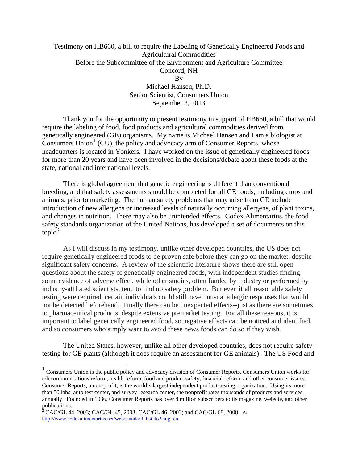# Testimony on HB660, a bill to require the Labeling of Genetically Engineered Foods and Agricultural Commodities Before the Subcommittee of the Environment and Agriculture Committee Concord, NH By Michael Hansen, Ph.D. Senior Scientist, Consumers Union

September 3, 2013

Thank you for the opportunity to present testimony in support of HB660, a bill that would require the labeling of food, food products and agricultural commodities derived from genetically engineered (GE) organisms. My name is Michael Hansen and I am a biologist at  $\overline{C}$  Consumers Union<sup>[1](#page-0-0)</sup> (CU), the policy and advocacy arm of Consumer Reports, whose headquarters is located in Yonkers. I have worked on the issue of genetically engineered foods for more than 20 years and have been involved in the decisions/debate about these foods at the state, national and international levels.

There is global agreement that genetic engineering is different than conventional breeding, and that safety assessments should be completed for all GE foods, including crops and animals, prior to marketing. The human safety problems that may arise from GE include introduction of new allergens or increased levels of naturally occurring allergens, of plant toxins, and changes in nutrition. There may also be unintended effects. Codex Alimentarius, the food safety standards organization of the United Nations, has developed a set of documents on this topic. $^{2}$  $^{2}$  $^{2}$ 

As I will discuss in my testimony, unlike other developed countries, the US does not require genetically engineered foods to be proven safe before they can go on the market, despite significant safety concerns. A review of the scientific literature shows there are still open questions about the safety of genetically engineered foods, with independent studies finding some evidence of adverse effect, while other studies, often funded by industry or performed by industry-affliated scientists, tend to find no safety problem. But even if all reasonable safety testing were required, certain individuals could still have unusual allergic responses that would not be detected beforehand. Finally there can be unexpected effects--just as there are sometimes to pharmaceutical products, despite extensive premarket testing. For all these reasons, it is important to label genetically engineered food, so negative effects can be noticed and identified, and so consumers who simply want to avoid these news foods can do so if they wish.

The United States, however, unlike all other developed countries, does not require safety testing for GE plants (although it does require an assessment for GE animals). The US Food and

 $\overline{a}$ 

<span id="page-0-0"></span><sup>&</sup>lt;sup>1</sup> Consumers Union is the public policy and advocacy division of Consumer Reports. Consumers Union works for telecommunications reform, health reform, food and product safety, financial reform, and other consumer issues. Consumer Reports, a non-profit, is the world's largest independent product-testing organization. Using its more than 50 labs, auto test center, and survey research center, the nonprofit rates thousands of products and services annually. Founded in 1936, Consumer Reports has over 8 million subscribers to its magazine, website, and other

<span id="page-0-1"></span>publications.<br><sup>2</sup> CAC/GL 44, 2003; CAC/GL 45, 2003; CAC/GL 46, 2003; and CAC/GL 68, 2008 At: [http://www.codexalimentarius.net/web/standard\\_list.do?lang=en](http://www.codexalimentarius.net/web/standard_list.do?lang=en)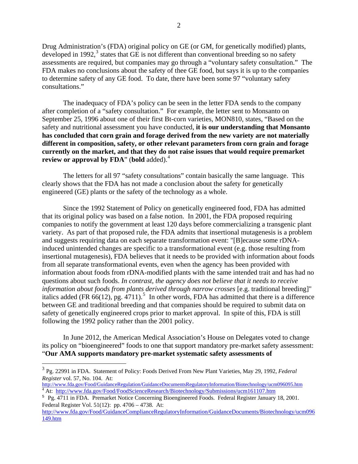Drug Administration's (FDA) original policy on GE (or GM, for genetically modified) plants, developed in 1992, $3$  states that GE is not different than conventional breeding so no safety assessments are required, but companies may go through a "voluntary safety consultation." The FDA makes no conclusions about the safety of thee GE food, but says it is up to the companies to determine safety of any GE food. To date, there have been some 97 "voluntary safety consultations."

The inadequacy of FDA's policy can be seen in the letter FDA sends to the company after completion of a "safety consultation." For example, the letter sent to Monsanto on September 25, 1996 about one of their first Bt-corn varieties, MON810, states, "Based on the safety and nutritional assessment you have conducted, **it is our understanding that Monsanto has concluded that corn grain and forage derived from the new variety are not materially different in composition, safety, or other relevant parameters from corn grain and forage currently on the market, and that they do not raise issues that would require premarket review or approval by FDA**" (**bold** added).<sup>[4](#page-1-1)</sup>

The letters for all 97 "safety consultations" contain basically the same language. This clearly shows that the FDA has not made a conclusion about the safety for genetically engineered (GE) plants or the safety of the technology as a whole.

Since the 1992 Statement of Policy on genetically engineered food, FDA has admitted that its original policy was based on a false notion.In 2001, the FDA proposed requiring companies to notify the government at least 120 days before commercializing a transgenic plant variety. As part of that proposed rule, the FDA admits that insertional mutagenesis is a problem and suggests requiring data on each separate transformation event: "[B]ecause some rDNAinduced unintended changes are specific to a transformational event (e.g. those resulting from insertional mutagenesis), FDA believes that it needs to be provided with information about foods from all separate transformational events, even when the agency has been provided with information about foods from rDNA-modified plants with the same intended trait and has had no questions about such foods. *In contrast, the agency does not believe that it needs to receive information about foods from plants derived through narrow crosses* [e.g. traditional breeding]" italics added (FR  $66(12)$ , pg.  $4711$ ).<sup>[5](#page-1-2)</sup> In other words, FDA has admitted that there is a difference between GE and traditional breeding and that companies should be required to submit data on safety of genetically engineered crops prior to market approval. In spite of this, FDA is still following the 1992 policy rather than the 2001 policy.

In June 2012, the American Medical Association's House on Delegates voted to change its policy on "bioengineered" foods to one that support mandatory pre-market safety assessment: "**Our AMA supports mandatory pre-market systematic safety assessments of** 

 $\overline{a}$ 

<span id="page-1-0"></span><sup>3</sup> Pg. 22991 in FDA. Statement of Policy: Foods Derived From New Plant Varieties, May 29, 1992, *Federal Register* vol. 57, No. 104. At:

<span id="page-1-1"></span>[http://www.fda.gov/Food/GuidanceRegulation/GuidanceDocumentsRegulatoryInformation/Biotechnology/ucm096095.htm 4](http://www.fda.gov/Food/GuidanceRegulation/GuidanceDocumentsRegulatoryInformation/Biotechnology/ucm096095.htm) <sup>4</sup> At: <http://www.fda.gov/Food/FoodScienceResearch/Biotechnology/Submissions/ucm161107.htm>

<span id="page-1-2"></span><sup>5</sup> Pg. 4711 in FDA. Premarket Notice Concerning Bioengineered Foods. Federal Register January 18, 2001. Federal Register Vol. 51(12): pp. 4706 – 4738. At:

[http://www.fda.gov/Food/GuidanceComplianceRegulatoryInformation/GuidanceDocuments/Biotechnology/ucm096](http://www.fda.gov/Food/GuidanceComplianceRegulatoryInformation/GuidanceDocuments/Biotechnology/ucm096149.htm) [149.htm](http://www.fda.gov/Food/GuidanceComplianceRegulatoryInformation/GuidanceDocuments/Biotechnology/ucm096149.htm)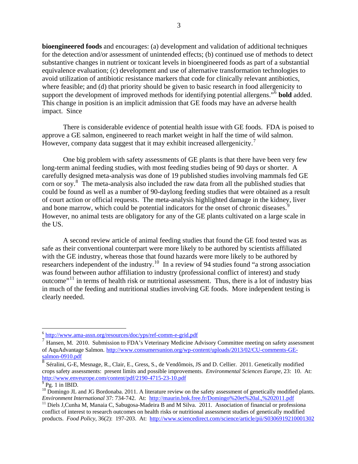**bioengineered foods** and encourages: (a) development and validation of additional techniques for the detection and/or assessment of unintended effects; (b) continued use of methods to detect substantive changes in nutrient or toxicant levels in bioengineered foods as part of a substantial equivalence evaluation; (c) development and use of alternative transformation technologies to avoid utilization of antibiotic resistance markers that code for clinically relevant antibiotics, where feasible; and (d) that priority should be given to basic research in food allergenicity to support the development of improved methods for identifying potential allergens."[6](#page-2-0) **bold** added. This change in position is an implicit admission that GE foods may have an adverse health impact. Since

There is considerable evidence of potential health issue with GE foods. FDA is poised to approve a GE salmon, engineered to reach market weight in half the time of wild salmon. However, company data suggest that it may exhibit increased allergenicity.<sup>[7](#page-2-1)</sup>

One big problem with safety assessments of GE plants is that there have been very few long-term animal feeding studies, with most feeding studies being of 90 days or shorter. A carefully designed meta-analysis was done of 19 published studies involving mammals fed GE corn or soy.<sup>[8](#page-2-2)</sup> The meta-analysis also included the raw data from all the published studies that could be found as well as a number of 90-daylong feeding studies that were obtained as a result of court action or official requests. The meta-analysis highlighted damage in the kidney, liver and bone marrow, which could be potential indicators for the onset of chronic diseases.<sup>[9](#page-2-3)</sup> However, no animal tests are obligatory for any of the GE plants cultivated on a large scale in the US.

A second review article of animal feeding studies that found the GE food tested was as safe as their conventional counterpart were more likely to be authored by scientists affiliated with the GE industry, whereas those that found hazards were more likely to be authored by researchers independent of the industry.<sup>[10](#page-2-4)</sup> In a review of 94 studies found "a strong association" was found between author affiliation to industry (professional conflict of interest) and study outcome"[11](#page-2-5) in terms of health risk or nutritional assessment. Thus, there is a lot of industry bias in much of the feeding and nutritional studies involving GE foods. More independent testing is clearly needed.

<span id="page-2-0"></span> $6$  http://www.ama-assn.org/resources/doc/yps/ref-comm-e-grid.pdf

<span id="page-2-1"></span>Hansen, M. 2010. Submission to FDA's Veterinary Medicine Advisory Committee meeting on safety assessment of AquAdvantage Salmon. http://www.consumersunion.org/wp-content/uploads/2013/02/CU-comments-GE-<br>salmon-0910.pdf

<span id="page-2-2"></span>Séralini, G-E, Mesnage, R., Clair, E., Gress, S., de Vendômois, JS and D. Cellier. 2011. Genetically modified crops safety assessments: present limits and possible improvements. *Environmental Sciences Europe*, 23: 10. At: <http://www.enveurope.com/content/pdf/2190-4715-23-10.pdf>

 $9$  Pg. 1 in IBID.

<span id="page-2-4"></span><span id="page-2-3"></span><sup>&</sup>lt;sup>10</sup> Domingo JL and JG Bordonaba. 2011. A literature review on the safety assessment of genetically modified plants. *Environment International 37: 734-742.* At: <http://maurin.bnk.free.fr/Domingo%20et%20al.,%202011.pdf><br><sup>11</sup> Diels J,Cunha M, Manaia C, Sabugosa-Madeira B and M Silva. 2011. Association of financial or professiona

<span id="page-2-5"></span>conflict of interest to research outcomes on health risks or nutritional assessment studies of genetically modified products. *Food Policy*, 36(2): 197-203. At: <http://www.sciencedirect.com/science/article/pii/S0306919210001302>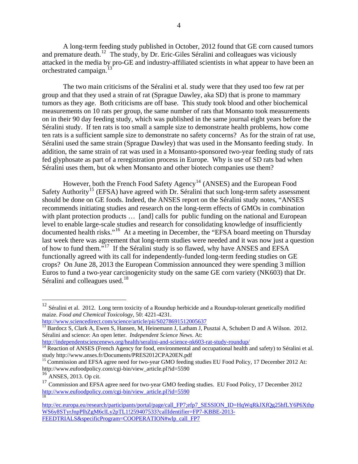A long-term feeding study published in October, 2012 found that GE corn caused tumors and premature death.<sup>[12](#page-3-0)</sup> The study, by Dr. Eric-Giles Séralini and colleagues was viciously attacked in the media by pro-GE and industry-affiliated scientists in what appear to have been an orchestrated campaign. $<sup>1</sup>$ </sup>

The two main criticisms of the Séralini et al. study were that they used too few rat per group and that they used a strain of rat (Sprague Dawley, aka SD) that is prone to mammary tumors as they age. Both criticisms are off base. This study took blood and other biochemical measurements on 10 rats per group, the same number of rats that Monsanto took measurements on in their 90 day feeding study, which was published in the same journal eight years before the Séralini study. If ten rats is too small a sample size to demonstrate health problems, how come ten rats is a sufficient sample size to demonstrate no safety concerns? As for the strain of rat use, Séralini used the same strain (Sprague Dawley) that was used in the Monsanto feeding study. In addition, the same strain of rat was used in a Monsanto-sponsored two-year feeding study of rats fed glyphosate as part of a reregistration process in Europe. Why is use of SD rats bad when Séralini uses them, but ok when Monsanto and other biotech companies use them?

However, both the French Food Safety Agency<sup>[14](#page-3-2)</sup> (ANSES) and the European Food Safety Authority<sup>[15](#page-3-3)</sup> (EFSA) have agreed with Dr. Séralini that such long-term safety assessment should be done on GE foods. Indeed, the ANSES report on the Séralini study notes, "ANSES recommends initiating studies and research on the long-term effects of GMOs in combination with plant protection products ... [and] calls for public funding on the national and European level to enable large-scale studies and research for consolidating knowledge of insufficiently documented health risks."[16](#page-3-4) At a meeting in December, the "EFSA board meeting on Thursday last week there was agreement that long-term studies were needed and it was now just a question of how to fund them."[17](#page-3-5) If the Séralini study is so flawed, why have ANSES and EFSA functionally agreed with its call for independently-funded long-term feeding studies on GE crops? On June 28, 2013 the European Commission announced they were spending 3 million Euros to fund a two-year carcinogenicity study on the same GE corn variety (NK603) that Dr. Séralini and colleagues used. $18$ 

```
http://www.sciencedirect.com/science/article/pii/S0278691512005637
```
<u>.</u>

<span id="page-3-0"></span><sup>&</sup>lt;sup>12</sup> Séralini et al. 2012. Long term toxicity of a Roundup herbicide and a Roundup-tolerant genetically modified maize. *Food and Chemical Toxicology*, 50: 4221-4231.

<span id="page-3-1"></span><sup>&</sup>lt;sup>13</sup> Bardocz S, Clark A, Ewen S, Hansen, M, Heinemann J, Latham J, Pusztai A, Schubert D and A Wilson. 2012. Séralini and science: An open letter. *Independent Science News*. At:<br>http://independentsciencenews.org/health/seralini-and-science-nk603-rat-study-roundup/

<span id="page-3-2"></span> $\frac{14}{14}$  $\frac{14}{14}$  $\frac{14}{14}$  Reaction of ANSES (French Agency for food, environmental and occupational health and safety) to Séralini et al. study http://www.anses.fr/Documents/PRES2012CPA20EN.pdf

<span id="page-3-3"></span><sup>&</sup>lt;sup>15</sup> Commission and EFSA agree need for two-year GMO feeding studies EU Food Policy, 17 December 2012 At: http://www.eufoodpolicy.com/cgi-bin/view\_article.pl?id=5590

<span id="page-3-4"></span> $16$  ANSES, 2013. Op cit.

<span id="page-3-5"></span><sup>&</sup>lt;sup>17</sup> Commission and EFSA agree need for two-year GMO feeding studies. EU Food Policy, 17 December 2012 [http://www.eufoodpolicy.com/cgi-bin/view\\_article.pl?id=5590](http://www.eufoodpolicy.com/cgi-bin/view_article.pl?id=5590)

<span id="page-3-6"></span>http://ec.europa.eu/research/participants/portal/page/call\_FP7;efp7\_SESSION\_ID=HqWqRkJXfOg25hfLY6P6Xthp [WS6y8STyrJnpPlhZgM6clLy2pTL1!259407533?callIdentifier=FP7-KBBE-2013-](http://ec.europa.eu/research/participants/portal/page/call_FP7;efp7_SESSION_ID=HqWqRkJXfQg25hfLY6P6XthpWS6y8STyrJnpPlhZgM6clLy2pTL1!259407533?callIdentifier=FP7-KBBE-2013-FEEDTRIALS&specificProgram=COOPERATION#wlp_call_FP7) [FEEDTRIALS&specificProgram=COOPERATION#wlp\\_call\\_FP7](http://ec.europa.eu/research/participants/portal/page/call_FP7;efp7_SESSION_ID=HqWqRkJXfQg25hfLY6P6XthpWS6y8STyrJnpPlhZgM6clLy2pTL1!259407533?callIdentifier=FP7-KBBE-2013-FEEDTRIALS&specificProgram=COOPERATION#wlp_call_FP7)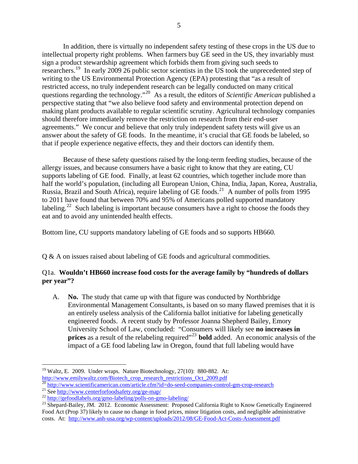In addition, there is virtually no independent safety testing of these crops in the US due to intellectual property right problems. When farmers buy GE seed in the US, they invariably must sign a product stewardship agreement which forbids them from giving such seeds to researchers.<sup>[19](#page-4-0)</sup> In early 2009 26 public sector scientists in the US took the unprecedented step of writing to the US Environmental Protection Agency (EPA) protesting that "as a result of restricted access, no truly independent research can be legally conducted on many critical questions regarding the technology."[20](#page-4-1) As a result, the editors of *Scientific American* published a perspective stating that "we also believe food safety and environmental protection depend on making plant products available to regular scientific scrutiny. Agricultural technology companies should therefore immediately remove the restriction on research from their end-user agreements." We concur and believe that only truly independent safety tests will give us an answer about the safety of GE foods. In the meantime, it's crucial that GE foods be labeled, so that if people experience negative effects, they and their doctors can identify them.

Because of these safety questions raised by the long-term feeding studies, because of the allergy issues, and because consumers have a basic right to know that they are eating, CU supports labeling of GE food. Finally, at least 62 countries, which together include more than half the world's population, (including all European Union, China, India, Japan, Korea, Australia, Russia, Brazil and South Africa), require labeling of GE foods.<sup>[21](#page-4-2)</sup> A number of polls from 1995 to 2011 have found that between 70% and 95% of Americans polled supported mandatory labeling.<sup>[22](#page-4-3)</sup> Such labeling is important because consumers have a right to choose the foods they eat and to avoid any unintended health effects.

Bottom line, CU supports mandatory labeling of GE foods and so supports HB660.

Q & A on issues raised about labeling of GE foods and agricultural commodities.

#### Q1a. **Wouldn't HB660 increase food costs for the average family by "hundreds of dollars per year"?**

A. **No.** The study that came up with that figure was conducted by Northbridge Environmental Management Consultants, is based on so many flawed premises that it is an entirely useless analysis of the California ballot initiative for labeling genetically engineered foods. A recent study by Professor Joanna Shepherd Bailey, Emory University School of Law, concluded: "Consumers will likely see **no increases in prices** as a result of the relabeling required"<sup>[23](#page-4-4)</sup> **bold** added. An economic analysis of the impact of a GE food labeling law in Oregon, found that full labeling would have

<span id="page-4-0"></span> $\overline{a}$  $19$  Waltz, E. 2009. Under wraps. Nature Biotechnology, 27(10): 880-882. At: http://www.emilywaltz.com/Biotech crop research restrictions Oct 2009.pdf<br>
20 <http://www.scientificamerican.com/article.cfm?id=do-seed-companies-control-gm-crop-research><br>
<sup>21</sup> See http://www.centerforfoodsafety.org/ge-map/

<span id="page-4-1"></span>

<span id="page-4-2"></span>

<span id="page-4-3"></span>

<span id="page-4-4"></span>Food Act (Prop 37) likely to cause no change in food prices, minor litigation costs, and negligible administrative costs. At: <http://www.anh-usa.org/wp-content/uploads/2012/08/GE-Food-Act-Costs-Assessment.pdf>